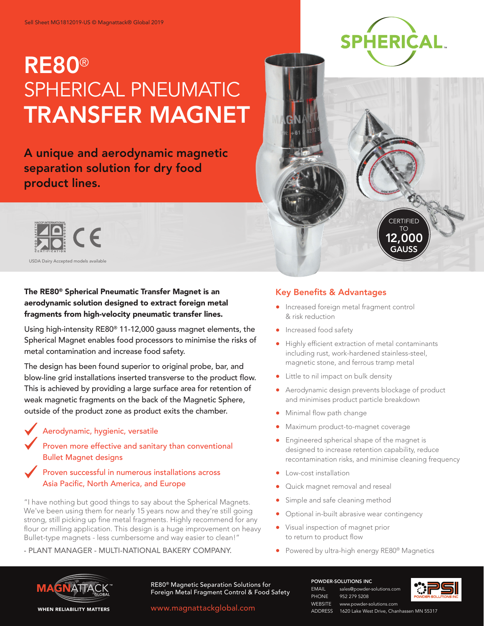# RE80® SPHERICAL PNEUMATIC TRANSFER MAGNET

A unique and aerodynamic magnetic separation solution for dry food product lines.



USDA Dairy Accepted models available

### The RE80® Spherical Pneumatic Transfer Magnet is an aerodynamic solution designed to extract foreign metal fragments from high-velocity pneumatic transfer lines.

Using high-intensity RE80® 11-12,000 gauss magnet elements, the Spherical Magnet enables food processors to minimise the risks of metal contamination and increase food safety.

The design has been found superior to original probe, bar, and blow-line grid installations inserted transverse to the product flow. This is achieved by providing a large surface area for retention of weak magnetic fragments on the back of the Magnetic Sphere, outside of the product zone as product exits the chamber.

#### Aerodynamic, hygienic, versatile

 Proven more effective and sanitary than conventional Bullet Magnet designs

#### Proven successful in numerous installations across Asia Pacific, North America, and Europe

"I have nothing but good things to say about the Spherical Magnets. We've been using them for nearly 15 years now and they're still going strong, still picking up fine metal fragments. Highly recommend for any flour or milling application. This design is a huge improvement on heavy Bullet-type magnets - less cumbersome and way easier to clean!"

#### - PLANT MANAGER - MULTI-NATIONAL BAKERY COMPANY.



**CERTIFIED** TO 12,000 GAUSS

#### Key Benefits & Advantages

- **Increased foreign metal fragment control** & risk reduction
- **Increased food safety**
- Highly efficient extraction of metal contaminants including rust, work-hardened stainless-steel, magnetic stone, and ferrous tramp metal
- Little to nil impact on bulk density
- Aerodynamic design prevents blockage of product and minimises product particle breakdown
- Minimal flow path change
- Maximum product-to-magnet coverage
- **•** Engineered spherical shape of the magnet is designed to increase retention capability, reduce recontamination risks, and minimise cleaning frequency
- **•** Low-cost installation
- Quick magnet removal and reseal
- Simple and safe cleaning method
- Optional in-built abrasive wear contingency
- Visual inspection of magnet prior to return to product flow
- Powered by ultra-high energy RE80<sup>®</sup> Magnetics



RE80® Magnetic Separation Solutions for **FORM AND THE READ TEAM CONTROL CONTROL** Sales@powder-solutions.com<br>Foreign Metal Fragment Control & Food Safety<br>PHONE 952 279 5208

www.magnattackglobal.com

POWDER-SOLUTIONS INC

952 279 5208 WEBSITE www.powder-solutions.com ADDRESS 1620 Lake West Drive, Chanhassen MN 55317